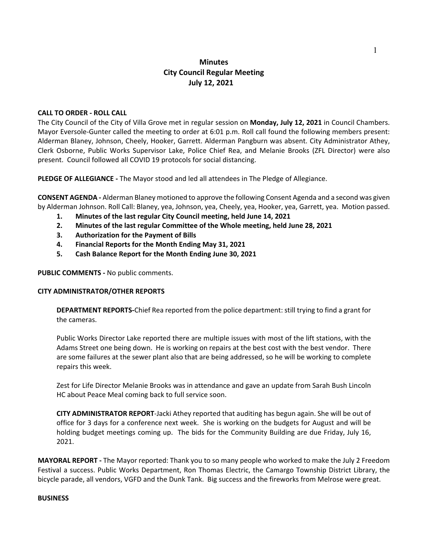# **Minutes City Council Regular Meeting July 12, 2021**

### **CALL TO ORDER - ROLL CALL**

The City Council of the City of Villa Grove met in regular session on **Monday, July 12, 2021** in Council Chambers. Mayor Eversole-Gunter called the meeting to order at 6:01 p.m. Roll call found the following members present: Alderman Blaney, Johnson, Cheely, Hooker, Garrett. Alderman Pangburn was absent. City Administrator Athey, Clerk Osborne, Public Works Supervisor Lake, Police Chief Rea, and Melanie Brooks (ZFL Director) were also present. Council followed all COVID 19 protocols for social distancing.

**PLEDGE OF ALLEGIANCE -** The Mayor stood and led all attendees in The Pledge of Allegiance.

**CONSENT AGENDA -** Alderman Blaney motioned to approve the following Consent Agenda and a second was given by Alderman Johnson. Roll Call: Blaney, yea, Johnson, yea, Cheely, yea, Hooker, yea, Garrett, yea. Motion passed.

- **1. Minutes of the last regular City Council meeting, held June 14, 2021**
- **2. Minutes of the last regular Committee of the Whole meeting, held June 28, 2021**
- **3. Authorization for the Payment of [Bills](https://drive.google.com/file/d/1-guXTEf5AdEHfb7D1nBtQJO4pdp6OEuW/view?usp=sharing)**
- **4. Financial Reports for the Month Ending May 31, 2021**
- **5. Cash Balance Report for the Month Ending June 30, 2021**

**PUBLIC COMMENTS -** No public comments.

#### **CITY ADMINISTRATOR/OTHER REPORTS**

**DEPARTMENT REPORTS-**Chief Rea reported from the police department: still trying to find a grant for the cameras.

Public Works Director Lake reported there are multiple issues with most of the lift stations, with the Adams Street one being down. He is working on repairs at the best cost with the best vendor. There are some failures at the sewer plant also that are being addressed, so he will be working to complete repairs this week.

Zest for Life Director Melanie Brooks was in attendance and gave an update from Sarah Bush Lincoln HC about Peace Meal coming back to full service soon.

**CITY ADMINISTRATOR REPORT**-Jacki Athey reported that auditing has begun again. She will be out of office for 3 days for a conference next week. She is working on the budgets for August and will be holding budget meetings coming up. The bids for the Community Building are due Friday, July 16, 2021.

**MAYORAL REPORT -** The Mayor reported: Thank you to so many people who worked to make the July 2 Freedom Festival a success. Public Works Department, Ron Thomas Electric, the Camargo Township District Library, the bicycle parade, all vendors, VGFD and the Dunk Tank. Big success and the fireworks from Melrose were great.

#### **BUSINESS**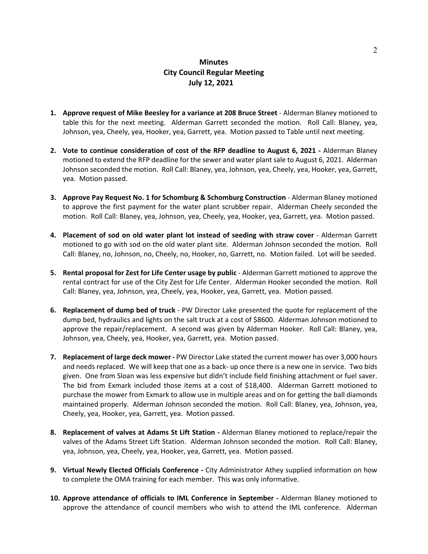# **Minutes City Council Regular Meeting July 12, 2021**

- **1. Approve request of Mike Beesley for a variance at 208 Bruce Street** Alderman Blaney motioned to table this for the next meeting. Alderman Garrett seconded the motion. Roll Call: Blaney, yea, Johnson, yea, Cheely, yea, Hooker, yea, Garrett, yea. Motion passed to Table until next meeting.
- **2. Vote to continue consideration of cost of the RFP deadline to August 6, 2021 -** Alderman Blaney motioned to extend the RFP deadline for the sewer and water plant sale to August 6, 2021. Alderman Johnson seconded the motion. Roll Call: Blaney, yea, Johnson, yea, Cheely, yea, Hooker, yea, Garrett, yea. Motion passed.
- **3. Approve Pay Request No. 1 for Schomburg & Schomburg Construction** Alderman Blaney motioned to approve the first payment for the water plant scrubber repair. Alderman Cheely seconded the motion. Roll Call: Blaney, yea, Johnson, yea, Cheely, yea, Hooker, yea, Garrett, yea. Motion passed.
- **4. Placement of sod on old water plant lot instead of seeding with straw cover** Alderman Garrett motioned to go with sod on the old water plant site. Alderman Johnson seconded the motion. Roll Call: Blaney, no, Johnson, no, Cheely, no, Hooker, no, Garrett, no. Motion failed. Lot will be seeded.
- **5. Rental [proposal](https://drive.google.com/file/d/1BVXIb1MmQsJH9-zUahN053fLRwXdoyV5/view?usp=sharing) for Zest for Life Center usage by public** Alderman Garrett motioned to approve the rental contract for use of the City Zest for Life Center. Alderman Hooker seconded the motion. Roll Call: Blaney, yea, Johnson, yea, Cheely, yea, Hooker, yea, Garrett, yea. Motion passed.
- **6. Replacement of dump bed of truck** PW Director Lake presented the quote for replacement of the dump bed, hydraulics and lights on the salt truck at a cost of \$8600. Alderman Johnson motioned to approve the repair/replacement. A second was given by Alderman Hooker. Roll Call: Blaney, yea, Johnson, yea, Cheely, yea, Hooker, yea, Garrett, yea. Motion passed.
- **7. Replacement of large deck mower -** PW Director Lake stated the current mower has over 3,000 hours and needs replaced. We will keep that one as a back- up once there is a new one in service. Two bids given. One from Sloan was less expensive but didn't include field finishing attachment or fuel saver. The bid from Exmark included those items at a cost of \$18,400. Alderman Garrett motioned to purchase the mower from Exmark to allow use in multiple areas and on for getting the ball diamonds maintained properly. Alderman Johnson seconded the motion. Roll Call: Blaney, yea, Johnson, yea, Cheely, yea, Hooker, yea, Garrett, yea. Motion passed.
- **8. Replacement of valves at Adams St Lift Station -** Alderman Blaney motioned to replace/repair the valves of the Adams Street Lift Station. Alderman Johnson seconded the motion. Roll Call: Blaney, yea, Johnson, yea, Cheely, yea, Hooker, yea, Garrett, yea. Motion passed.
- **9. Virtual Newly Elected Officials Conference -** City Administrator Athey supplied information on how to complete the OMA training for each member. This was only informative.
- **10. Approve attendance of officials to IML Conference in September -** Alderman Blaney motioned to approve the attendance of council members who wish to attend the IML conference. Alderman